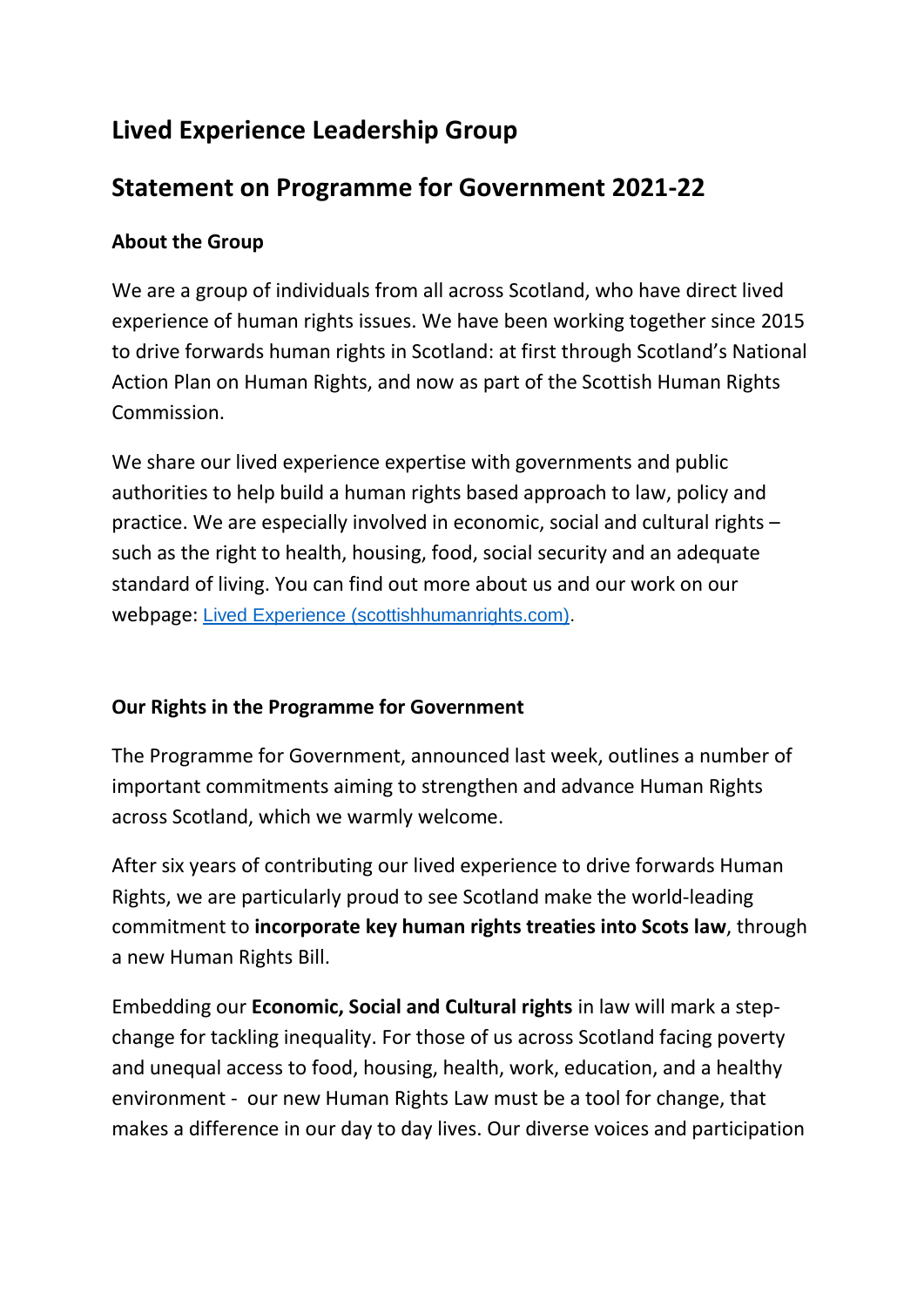## **Lived Experience Leadership Group**

## **Statement on Programme for Government 2021-22**

## **About the Group**

We are a group of individuals from all across Scotland, who have direct lived experience of human rights issues. We have been working together since 2015 to drive forwards human rights in Scotland: at first through Scotland's National Action Plan on Human Rights, and now as part of the Scottish Human Rights Commission.

We share our lived experience expertise with governments and public authorities to help build a human rights based approach to law, policy and practice. We are especially involved in economic, social and cultural rights – such as the right to health, housing, food, social security and an adequate standard of living. You can find out more about us and our work on our webpage: [Lived Experience \(scottishhumanrights.com\).](https://www.scottishhumanrights.com/about/lived-experience/)

## **Our Rights in the Programme for Government**

The Programme for Government, announced last week, outlines a number of important commitments aiming to strengthen and advance Human Rights across Scotland, which we warmly welcome.

After six years of contributing our lived experience to drive forwards Human Rights, we are particularly proud to see Scotland make the world-leading commitment to **incorporate key human rights treaties into Scots law**, through a new Human Rights Bill.

Embedding our **Economic, Social and Cultural rights** in law will mark a stepchange for tackling inequality. For those of us across Scotland facing poverty and unequal access to food, housing, health, work, education, and a healthy environment - our new Human Rights Law must be a tool for change, that makes a difference in our day to day lives. Our diverse voices and participation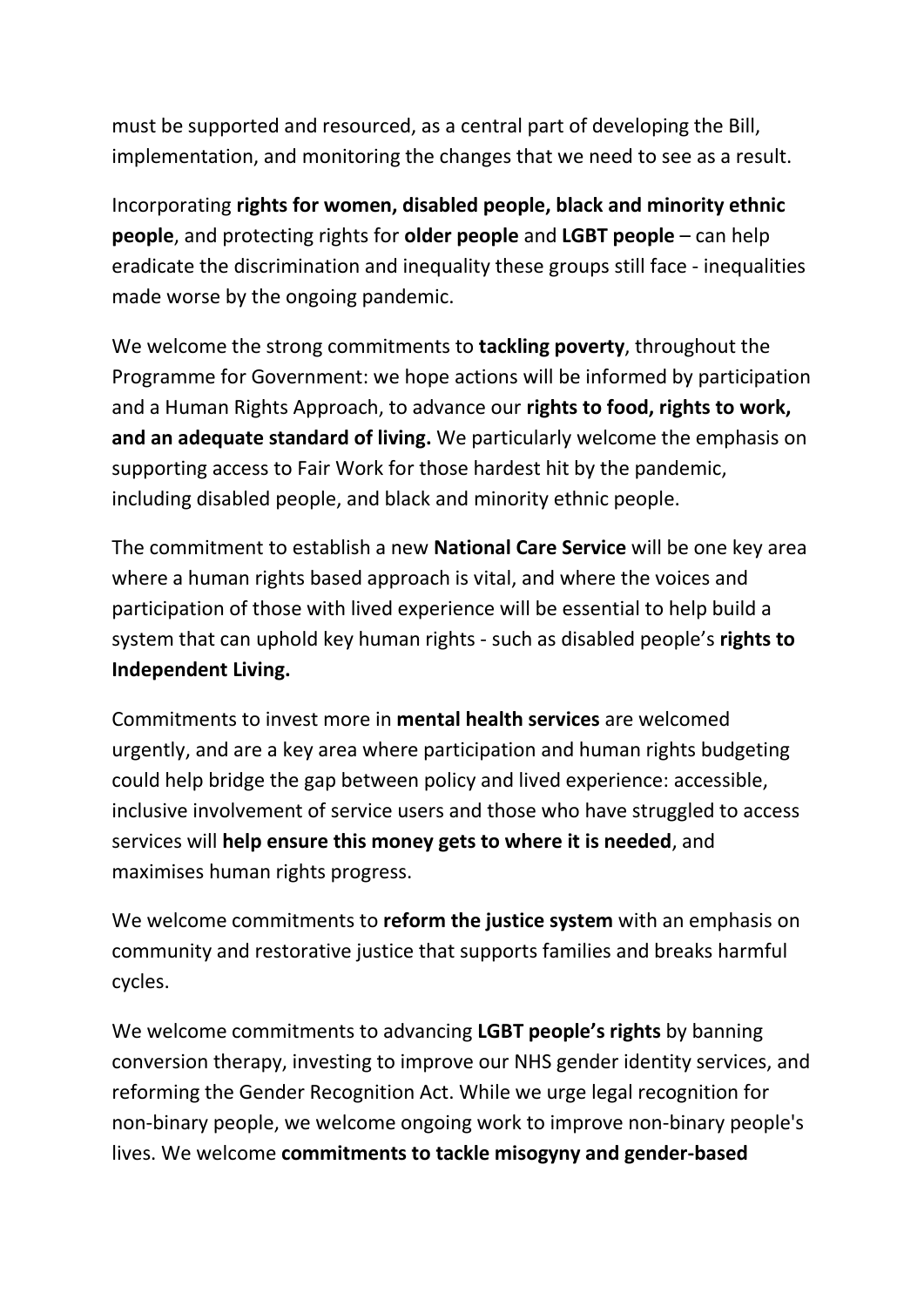must be supported and resourced, as a central part of developing the Bill, implementation, and monitoring the changes that we need to see as a result.

Incorporating **rights for women, disabled people, black and minority ethnic people**, and protecting rights for **older people** and **LGBT people** – can help eradicate the discrimination and inequality these groups still face - inequalities made worse by the ongoing pandemic.

We welcome the strong commitments to **tackling poverty**, throughout the Programme for Government: we hope actions will be informed by participation and a Human Rights Approach, to advance our **rights to food, rights to work, and an adequate standard of living.** We particularly welcome the emphasis on supporting access to Fair Work for those hardest hit by the pandemic, including disabled people, and black and minority ethnic people.

The commitment to establish a new **National Care Service** will be one key area where a human rights based approach is vital, and where the voices and participation of those with lived experience will be essential to help build a system that can uphold key human rights - such as disabled people's **rights to Independent Living.**

Commitments to invest more in **mental health services** are welcomed urgently, and are a key area where participation and human rights budgeting could help bridge the gap between policy and lived experience: accessible, inclusive involvement of service users and those who have struggled to access services will **help ensure this money gets to where it is needed**, and maximises human rights progress.

We welcome commitments to **reform the justice system** with an emphasis on community and restorative justice that supports families and breaks harmful cycles.

We welcome commitments to advancing **LGBT people's rights** by banning conversion therapy, investing to improve our NHS gender identity services, and reforming the Gender Recognition Act. While we urge legal recognition for non-binary people, we welcome ongoing work to improve non-binary people's lives. We welcome **commitments to tackle misogyny and gender-based**